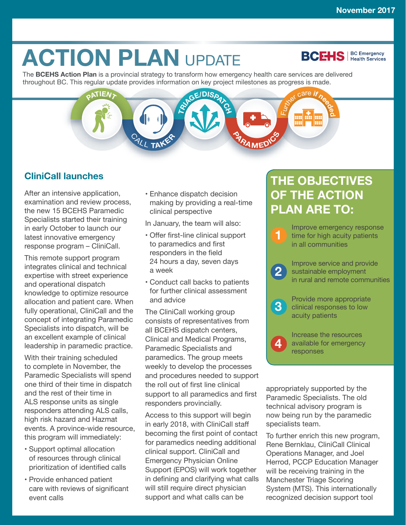**BCEHS** | BC Emergency

# **ACTION PLAN UPDATE**

The **BCEHS Action Plan** is a provincial strategy to transform how emergency health care services are delivered throughout BC. This regular update provides information on key project milestones as progress is made.



#### **CliniCall launches**

After an intensive application, examination and review process, the new 15 BCEHS Paramedic Specialists started their training in early October to launch our latest innovative emergency response program – CliniCall.

This remote support program integrates clinical and technical expertise with street experience and operational dispatch knowledge to optimize resource allocation and patient care. When fully operational, CliniCall and the concept of integrating Paramedic Specialists into dispatch, will be an excellent example of clinical leadership in paramedic practice.

With their training scheduled to complete in November, the Paramedic Specialists will spend one third of their time in dispatch and the rest of their time in ALS response units as single responders attending ALS calls, high risk hazard and Hazmat events. A province-wide resource, this program will immediately:

- Support optimal allocation of resources through clinical prioritization of identified calls
- Provide enhanced patient care with reviews of significant event calls

• Enhance dispatch decision making by providing a real-time clinical perspective

In January, the team will also:

- Offer first-line clinical support to paramedics and first responders in the field 24 hours a day, seven days a week
- Conduct call backs to patients for further clinical assessment and advice

The CliniCall working group consists of representatives from all BCEHS dispatch centers, Clinical and Medical Programs, Paramedic Specialists and paramedics. The group meets weekly to develop the processes and procedures needed to support the roll out of first line clinical support to all paramedics and first responders provincially.

Access to this support will begin in early 2018, with CliniCall staff becoming the first point of contact for paramedics needing additional clinical support. CliniCall and Emergency Physician Online Support (EPOS) will work together in defining and clarifying what calls will still require direct physician support and what calls can be

## **THE OBJECTIVES OF THE ACTION PLAN ARE TO:**



Increase the resources available for emergency responses

**4**

appropriately supported by the Paramedic Specialists. The old technical advisory program is now being run by the paramedic specialists team.

To further enrich this new program, Rene Bernklau, CliniCall Clinical Operations Manager, and Joel Herrod, PCCP Education Manager will be receiving training in the Manchester Triage Scoring System (MTS). This internationally recognized decision support tool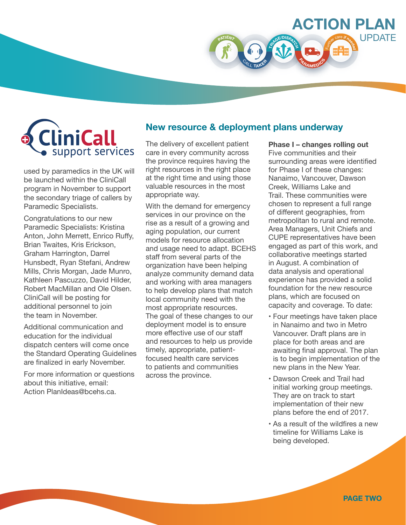**CliniCall** support services

used by paramedics in the UK will be launched within the CliniCall program in November to support the secondary triage of callers by Paramedic Specialists.

Congratulations to our new Paramedic Specialists: Kristina Anton, John Merrett, Enrico Ruffy, Brian Twaites, Kris Erickson, Graham Harrington, Darrel Hunsbedt, Ryan Stefani, Andrew Mills, Chris Morgan, Jade Munro, Kathleen Pascuzzo, David Hilder, Robert MacMillan and Ole Olsen. CliniCall will be posting for additional personnel to join the team in November.

Additional communication and education for the individual dispatch centers will come once the Standard Operating Guidelines are finalized in early November.

For more information or questions about this initiative, email: Action PlanIdeas@bcehs.ca.

#### **New resource & deployment plans underway**

<sup>C</sup>AL<sup>L</sup> **<sup>T</sup>AKE<sup>R</sup>**

**TR<sup>I</sup>AGE/DISPATC<sup>H</sup>**

**<sup>P</sup>ARAMED<sup>I</sup>C<sup>S</sup>**

**<sup>P</sup>ATIEN<sup>T</sup>**

The delivery of excellent patient care in every community across the province requires having the right resources in the right place at the right time and using those valuable resources in the most appropriate way.

With the demand for emergency services in our province on the rise as a result of a growing and aging population, our current models for resource allocation and usage need to adapt. BCEHS staff from several parts of the organization have been helping analyze community demand data and working with area managers to help develop plans that match local community need with the most appropriate resources. The goal of these changes to our deployment model is to ensure more effective use of our staff and resources to help us provide timely, appropriate, patientfocused health care services to patients and communities across the province.

**Phase I – changes rolling out** Five communities and their surrounding areas were identified for Phase I of these changes: Nanaimo, Vancouver, Dawson Creek, Williams Lake and Trail. These communities were chosen to represent a full range of different geographies, from metropolitan to rural and remote. Area Managers, Unit Chiefs and CUPE representatives have been engaged as part of this work, and collaborative meetings started in August. A combination of data analysis and operational experience has provided a solid foundation for the new resource plans, which are focused on capacity and coverage. To date:

**ACTION PLAN**

<sup>F</sup>urthe<sup>r</sup> <sup>c</sup>ar<sup>e</sup> **<sup>i</sup><sup>f</sup> <sup>n</sup>eede<sup>d</sup>**

UPDATE

- Four meetings have taken place in Nanaimo and two in Metro Vancouver. Draft plans are in place for both areas and are awaiting final approval. The plan is to begin implementation of the new plans in the New Year.
- Dawson Creek and Trail had initial working group meetings. They are on track to start implementation of their new plans before the end of 2017.
- As a result of the wildfires a new timeline for Williams Lake is being developed.